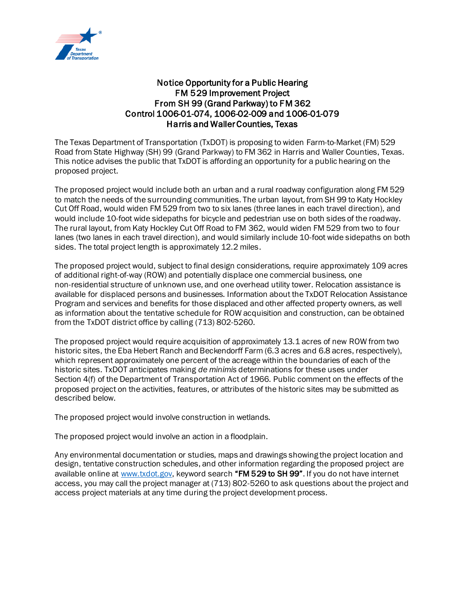

## Notice Opportunity for a Public Hearing FM 529 Improvement Project From SH 99 (Grand Parkway) to FM 362 Control 1006-01-074, 1006-02-009 and 1006-01-079 Harris and Waller Counties, Texas

The Texas Department of Transportation (TxDOT) is proposing to widen Farm-to-Market (FM) 529 Road from State Highway (SH) 99 (Grand Parkway) to FM 362 in Harris and Waller Counties, Texas. This notice advises the public that TxDOT is affording an opportunity for a public hearing on the proposed project.

The proposed project would include both an urban and a rural roadway configuration along FM 529 to match the needs of the surrounding communities. The urban layout, from SH 99 to Katy Hockley Cut Off Road, would widen FM 529 from two to six lanes (three lanes in each travel direction), and would include 10-foot wide sidepaths for bicycle and pedestrian use on both sides of the roadway. The rural layout, from Katy Hockley Cut Off Road to FM 362, would widen FM 529 from two to four lanes (two lanes in each travel direction), and would similarly include 10-foot wide sidepaths on both sides. The total project length is approximately 12.2 miles.

The proposed project would, subject to final design considerations, require approximately 109 acres of additional right-of-way (ROW) and potentially displace one commercial business, one non-residential structure of unknown use, and one overhead utility tower. Relocation assistance is available for displaced persons and businesses. Information about the TxDOT Relocation Assistance Program and services and benefits for those displaced and other affected property owners, as well as information about the tentative schedule for ROW acquisition and construction, can be obtained from the TxDOT district office by calling (713) 802-5260.

The proposed project would require acquisition of approximately 13.1 acres of new ROW from two historic sites, the Eba Hebert Ranch and Beckendorff Farm (6.3 acres and 6.8 acres, respectively), which represent approximately one percent of the acreage within the boundaries of each of the historic sites. TxDOT anticipates making *de minimis* determinations for these uses under Section 4(f) of the Department of Transportation Act of 1966. Public comment on the effects of the proposed project on the activities, features, or attributes of the historic sites may be submitted as described below.

The proposed project would involve construction in wetlands.

The proposed project would involve an action in a floodplain.

Any environmental documentation or studies, maps and drawings showing the project location and design, tentative construction schedules, and other information regarding the proposed project are available online at [www.txdot.gov,](http://www.txdot.gov/) keyword search "FM 529 to SH 99". If you do not have internet access, you may call the project manager at (713) 802-5260 to ask questions about the project and access project materials at any time during the project development process.